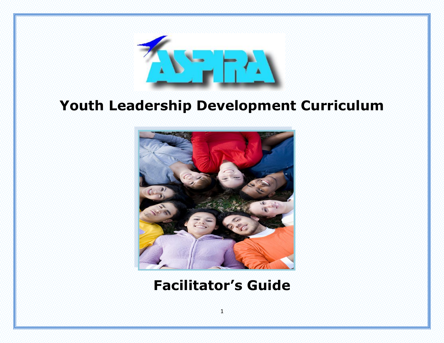

# **Youth Leadership Development Curriculum**



# **Facilitator's Guide**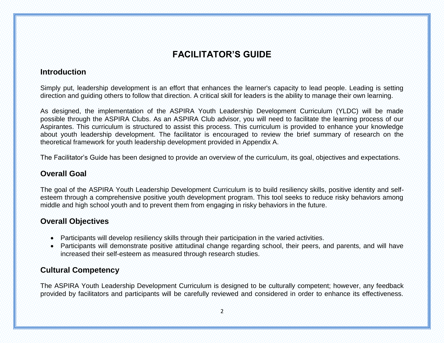# **FACILITATOR'S GUIDE**

# **Introduction**

Simply put, leadership development is an effort that enhances the learner's capacity to lead people. Leading is setting direction and guiding others to follow that direction. A critical skill for leaders is the ability to manage their own learning.

As designed, the implementation of the ASPIRA Youth Leadership Development Curriculum (YLDC) will be made possible through the ASPIRA Clubs. As an ASPIRA Club advisor, you will need to facilitate the learning process of our Aspirantes. This curriculum is structured to assist this process. This curriculum is provided to enhance your knowledge about youth leadership development. The facilitator is encouraged to review the brief summary of research on the theoretical framework for youth leadership development provided in Appendix A.

The Facilitator's Guide has been designed to provide an overview of the curriculum, its goal, objectives and expectations.

# **Overall Goal**

The goal of the ASPIRA Youth Leadership Development Curriculum is to build resiliency skills, positive identity and selfesteem through a comprehensive positive youth development program. This tool seeks to reduce risky behaviors among middle and high school youth and to prevent them from engaging in risky behaviors in the future.

# **Overall Objectives**

- Participants will develop resiliency skills through their participation in the varied activities.
- Participants will demonstrate positive attitudinal change regarding school, their peers, and parents, and will have increased their self-esteem as measured through research studies.

# **Cultural Competency**

The ASPIRA Youth Leadership Development Curriculum is designed to be culturally competent; however, any feedback provided by facilitators and participants will be carefully reviewed and considered in order to enhance its effectiveness.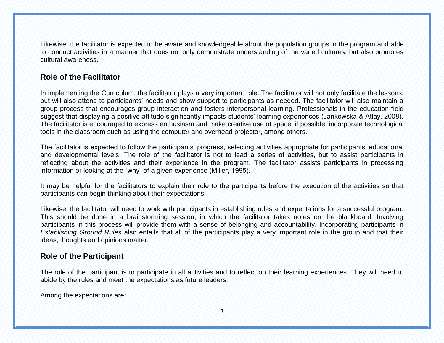Likewise, the facilitator is expected to be aware and knowledgeable about the population groups in the program and able to conduct activities in a manner that does not only demonstrate understanding of the varied cultures, but also promotes cultural awareness.

# **Role of the Facilitator**

In implementing the Curriculum, the facilitator plays a very important role. The facilitator will not only facilitate the lessons, but will also attend to participants' needs and show support to participants as needed. The facilitator will also maintain a group process that encourages group interaction and fosters interpersonal learning. Professionals in the education field suggest that displaying a positive attitude significantly impacts students' learning experiences (Jankowska & Atlay, 2008). The facilitator is encouraged to express enthusiasm and make creative use of space, if possible, incorporate technological tools in the classroom such as using the computer and overhead projector, among others.

The facilitator is expected to follow the participants' progress, selecting activities appropriate for participants' educational and developmental levels. The role of the facilitator is not to lead a series of activities, but to assist participants in reflecting about the activities and their experience in the program. The facilitator assists participants in processing information or looking at the "why" of a given experience (Miller, 1995).

It may be helpful for the facilitators to explain their role to the participants before the execution of the activities so that participants can begin thinking about their expectations.

Likewise, the facilitator will need to work with participants in establishing rules and expectations for a successful program. This should be done in a brainstorming session, in which the facilitator takes notes on the blackboard. Involving participants in this process will provide them with a sense of belonging and accountability. Incorporating participants in *Establishing Ground Rules* also entails that all of the participants play a very important role in the group and that their ideas, thoughts and opinions matter.

# **Role of the Participant**

The role of the participant is to participate in all activities and to reflect on their learning experiences. They will need to abide by the rules and meet the expectations as future leaders.

Among the expectations are: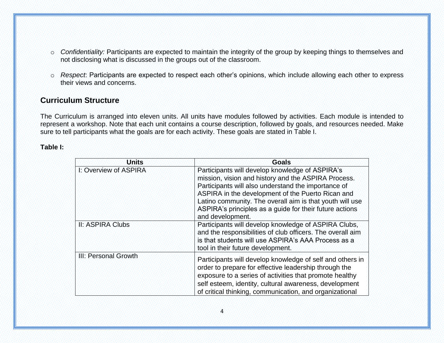- o *Confidentiality:* Participants are expected to maintain the integrity of the group by keeping things to themselves and not disclosing what is discussed in the groups out of the classroom.
- o *Respect*: Participants are expected to respect each other's opinions, which include allowing each other to express their views and concerns.

# **Curriculum Structure**

The Curriculum is arranged into eleven units. All units have modules followed by activities. Each module is intended to represent a workshop. Note that each unit contains a course description, followed by goals, and resources needed. Make sure to tell participants what the goals are for each activity. These goals are stated in Table I.

**Table I:**

| <b>Units</b>          | <b>Goals</b>                                                                                                                                                                                                                                                                                                                                                  |
|-----------------------|---------------------------------------------------------------------------------------------------------------------------------------------------------------------------------------------------------------------------------------------------------------------------------------------------------------------------------------------------------------|
| I: Overview of ASPIRA | Participants will develop knowledge of ASPIRA's<br>mission, vision and history and the ASPIRA Process.<br>Participants will also understand the importance of<br>ASPIRA in the development of the Puerto Rican and<br>Latino community. The overall aim is that youth will use<br>ASPIRA's principles as a guide for their future actions<br>and development. |
| II: ASPIRA Clubs      | Participants will develop knowledge of ASPIRA Clubs,<br>and the responsibilities of club officers. The overall aim<br>is that students will use ASPIRA's AAA Process as a<br>tool in their future development.                                                                                                                                                |
| III: Personal Growth  | Participants will develop knowledge of self and others in<br>order to prepare for effective leadership through the<br>exposure to a series of activities that promote healthy<br>self esteem, identity, cultural awareness, development<br>of critical thinking, communication, and organizational                                                            |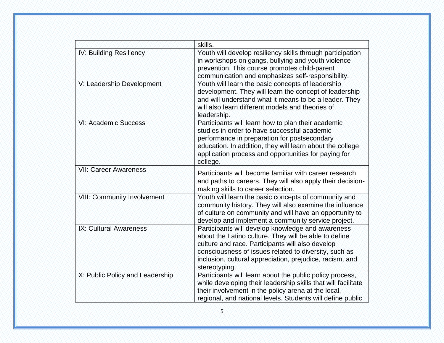|                                    | skills.                                                                                                                                                                                                                                                                                              |
|------------------------------------|------------------------------------------------------------------------------------------------------------------------------------------------------------------------------------------------------------------------------------------------------------------------------------------------------|
| IV: Building Resiliency            | Youth will develop resiliency skills through participation<br>in workshops on gangs, bullying and youth violence<br>prevention. This course promotes child-parent<br>communication and emphasizes self-responsibility.                                                                               |
| V: Leadership Development          | Youth will learn the basic concepts of leadership<br>development. They will learn the concept of leadership<br>and will understand what it means to be a leader. They<br>will also learn different models and theories of<br>leadership.                                                             |
| VI: Academic Success               | Participants will learn how to plan their academic<br>studies in order to have successful academic<br>performance in preparation for postsecondary<br>education. In addition, they will learn about the college<br>application process and opportunities for paying for<br>college.                  |
| <b>VII: Career Awareness</b>       | Participants will become familiar with career research<br>and paths to careers. They will also apply their decision-<br>making skills to career selection.                                                                                                                                           |
| <b>VIII: Community Involvement</b> | Youth will learn the basic concepts of community and<br>community history. They will also examine the influence<br>of culture on community and will have an opportunity to<br>develop and implement a community service project.                                                                     |
| IX: Cultural Awareness             | Participants will develop knowledge and awareness<br>about the Latino culture. They will be able to define<br>culture and race. Participants will also develop<br>consciousness of issues related to diversity, such as<br>inclusion, cultural appreciation, prejudice, racism, and<br>stereotyping. |
| X: Public Policy and Leadership    | Participants will learn about the public policy process,<br>while developing their leadership skills that will facilitate<br>their involvement in the policy arena at the local,<br>regional, and national levels. Students will define public                                                       |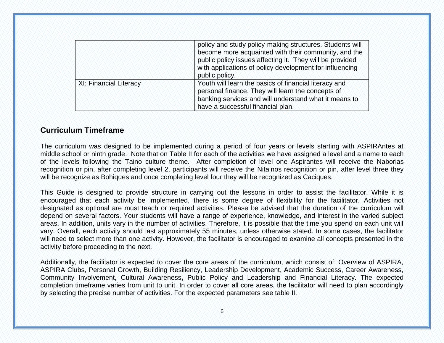|                        | policy and study policy-making structures. Students will<br>become more acquainted with their community, and the<br>public policy issues affecting it. They will be provided<br>with applications of policy development for influencing<br>public policy. |
|------------------------|-----------------------------------------------------------------------------------------------------------------------------------------------------------------------------------------------------------------------------------------------------------|
| XI: Financial Literacy | Youth will learn the basics of financial literacy and<br>personal finance. They will learn the concepts of<br>banking services and will understand what it means to<br>have a successful financial plan.                                                  |

# **Curriculum Timeframe**

The curriculum was designed to be implemented during a period of four years or levels starting with ASPIRAntes at middle school or ninth grade. Note that on Table II for each of the activities we have assigned a level and a name to each of the levels following the Taino culture theme. After completion of level one Aspirantes will receive the Naborias recognition or pin, after completing level 2, participants will receive the Nitainos recognition or pin, after level three they will be recognize as Bohiques and once completing level four they will be recognized as Caciques.

This Guide is designed to provide structure in carrying out the lessons in order to assist the facilitator. While it is encouraged that each activity be implemented, there is some degree of flexibility for the facilitator. Activities not designated as optional are must teach or required activities. Please be advised that the duration of the curriculum will depend on several factors. Your students will have a range of experience, knowledge, and interest in the varied subject areas. In addition, units vary in the number of activities. Therefore, it is possible that the time you spend on each unit will vary. Overall, each activity should last approximately 55 minutes, unless otherwise stated. In some cases, the facilitator will need to select more than one activity. However, the facilitator is encouraged to examine all concepts presented in the activity before proceeding to the next.

Additionally, the facilitator is expected to cover the core areas of the curriculum, which consist of: Overview of ASPIRA, ASPIRA Clubs, Personal Growth, Building Resiliency, Leadership Development, Academic Success, Career Awareness, Community Involvement, Cultural Awareness**,** Public Policy and Leadership and Financial Literacy. The expected completion timeframe varies from unit to unit. In order to cover all core areas, the facilitator will need to plan accordingly by selecting the precise number of activities. For the expected parameters see table II.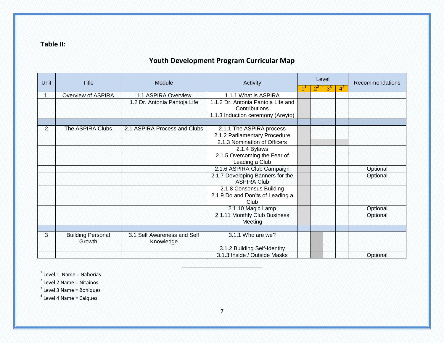**Table II:**

# **Youth Development Program Curricular Map**

| Unit           | <b>Title</b>                       | Module                                   | Activity                                               | Level |       |                | <b>Recommendations</b> |
|----------------|------------------------------------|------------------------------------------|--------------------------------------------------------|-------|-------|----------------|------------------------|
|                |                                    |                                          |                                                        | $2^2$ | $3^3$ | 4 <sup>4</sup> |                        |
| 42             | Overview of ASPIRA                 | 1.1 ASPIRA Overview                      | 1.1.1 What is ASPIRA                                   |       |       |                |                        |
|                |                                    | 1.2 Dr. Antonia Pantoja Life             | 1.1.2 Dr. Antonia Pantoja Life and<br>Contributions    |       |       |                |                        |
|                |                                    |                                          | 1.1.3 Induction ceremony (Areyto)                      |       |       |                |                        |
|                |                                    |                                          |                                                        |       |       |                |                        |
| $\overline{2}$ | The ASPIRA Clubs                   | 2.1 ASPIRA Process and Clubs             | 2.1.1 The ASPIRA process                               |       |       |                |                        |
|                |                                    |                                          | 2.1.2 Parliamentary Procedure                          |       |       |                |                        |
|                |                                    |                                          | 2.1.3 Nomination of Officers                           |       |       |                |                        |
|                |                                    |                                          | 2.1.4 Bylaws                                           |       |       |                |                        |
|                |                                    |                                          | 2.1.5 Overcoming the Fear of<br>Leading a Club         |       |       |                |                        |
|                |                                    |                                          | 2.1.6 ASPIRA Club Campaign                             |       |       |                | Optional               |
|                |                                    |                                          | 2.1.7 Developing Banners for the<br><b>ASPIRA Club</b> |       |       |                | Optional               |
|                |                                    |                                          | 2.1.8 Consensus Building                               |       |       |                |                        |
|                |                                    |                                          | 2.1.9 Do and Don'ts of Leading a<br>Club               |       |       |                |                        |
|                |                                    |                                          | 2.1.10 Magic Lamp                                      |       |       |                | Optional               |
|                |                                    |                                          | 2.1.11 Monthly Club Business<br>Meeting                |       |       |                | Optional               |
|                |                                    |                                          |                                                        |       |       |                |                        |
| 3.             | <b>Building Personal</b><br>Growth | 3.1 Self Awareness and Self<br>Knowledge | 3.1.1 Who are we?                                      |       |       |                |                        |
|                |                                    |                                          | 3.1.2 Building Self-Identity                           |       |       |                |                        |
|                |                                    |                                          | 3.1.3 Inside / Outside Masks                           |       |       |                | Optional               |

 $1$  Level 1 Name = Naborias

<sup>2</sup> Level 2 Name = Nitainos

 $3$  Level 3 Name = Bohiques

 $4$  Level 4 Name = Caiques

 $\frac{1}{2}$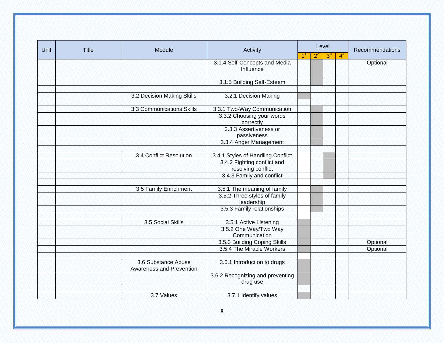| Unit | <b>Title</b> | Module                                                 | Activity                                          |                           | Level |       |                | Recommendations |
|------|--------------|--------------------------------------------------------|---------------------------------------------------|---------------------------|-------|-------|----------------|-----------------|
|      |              |                                                        |                                                   | $\mathbf{1}^{\mathsf{T}}$ | $2^2$ | $3^3$ | 4 <sup>4</sup> |                 |
|      |              |                                                        | 3.1.4 Self-Concepts and Media<br>Influence        |                           |       |       |                | Optional        |
|      |              |                                                        | 3.1.5 Building Self-Esteem                        |                           |       |       |                |                 |
|      |              |                                                        |                                                   |                           |       |       |                |                 |
|      |              | 3.2 Decision Making Skills                             | 3.2.1 Decision Making                             |                           |       |       |                |                 |
|      |              |                                                        |                                                   |                           |       |       |                |                 |
|      |              | 3.3 Communications Skills                              | 3.3.1 Two-Way Communication                       |                           |       |       |                |                 |
|      |              |                                                        | 3.3.2 Choosing your words<br>correctly            |                           |       |       |                |                 |
|      |              |                                                        | 3.3.3 Assertiveness or<br>passiveness             |                           |       |       |                |                 |
|      |              |                                                        | 3.3.4 Anger Management                            |                           |       |       |                |                 |
|      |              |                                                        |                                                   |                           |       |       |                |                 |
|      |              | 3.4 Conflict Resolution                                | 3.4.1 Styles of Handling Conflict                 |                           |       |       |                |                 |
|      |              |                                                        | 3.4.2 Fighting conflict and<br>resolving conflict |                           |       |       |                |                 |
|      |              |                                                        | 3.4.3 Family and conflict                         |                           |       |       |                |                 |
|      |              |                                                        |                                                   |                           |       |       |                |                 |
|      |              | 3.5 Family Enrichment                                  | 3.5.1 The meaning of family                       |                           |       |       |                |                 |
|      |              |                                                        | 3.5.2 Three styles of family<br>leadership        |                           |       |       |                |                 |
|      |              |                                                        | 3.5.3 Family relationships                        |                           |       |       |                |                 |
|      |              |                                                        |                                                   |                           |       |       |                |                 |
|      |              | 3.5 Social Skills                                      | 3.5.1 Active Listening                            |                           |       |       |                |                 |
|      |              |                                                        | 3.5.2 One Way/Two Way<br>Communication            |                           |       |       |                |                 |
|      |              |                                                        | 3.5.3 Building Coping Skills                      |                           |       |       |                | Optional        |
|      |              |                                                        | 3.5.4 The Miracle Workers                         |                           |       |       |                | Optional        |
|      |              |                                                        |                                                   |                           |       |       |                |                 |
|      |              | 3.6 Substance Abuse<br><b>Awareness and Prevention</b> | 3.6.1 Introduction to drugs                       |                           |       |       |                |                 |
|      |              |                                                        | 3.6.2 Recognizing and preventing<br>drug use      |                           |       |       |                |                 |
|      |              | 3.7 Values                                             | 3.7.1 Identify values                             |                           |       |       |                |                 |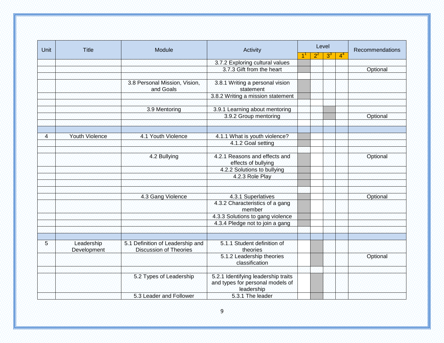| Unit           | <b>Title</b>              | Module                                                            | Activity                                                                              |   |       | Level |       | Recommendations |
|----------------|---------------------------|-------------------------------------------------------------------|---------------------------------------------------------------------------------------|---|-------|-------|-------|-----------------|
|                |                           |                                                                   |                                                                                       | 1 | $2^2$ | $3^3$ | $4^4$ |                 |
|                |                           |                                                                   | 3.7.2 Exploring cultural values                                                       |   |       |       |       |                 |
|                |                           |                                                                   | 3.7.3 Gift from the heart                                                             |   |       |       |       | Optional        |
|                |                           |                                                                   |                                                                                       |   |       |       |       |                 |
|                |                           | 3.8 Personal Mission, Vision,<br>and Goals                        | 3.8.1 Writing a personal vision<br>statement                                          |   |       |       |       |                 |
|                |                           |                                                                   | 3.8.2 Writing a mission statement                                                     |   |       |       |       |                 |
|                |                           |                                                                   |                                                                                       |   |       |       |       |                 |
|                |                           | 3.9 Mentoring                                                     | 3.9.1 Learning about mentoring                                                        |   |       |       |       |                 |
|                |                           |                                                                   | 3.9.2 Group mentoring                                                                 |   |       |       |       | Optional        |
|                |                           |                                                                   |                                                                                       |   |       |       |       |                 |
| $\overline{4}$ | <b>Youth Violence</b>     | 4.1 Youth Violence                                                | 4.1.1 What is youth violence?                                                         |   |       |       |       |                 |
|                |                           |                                                                   | 4.1.2 Goal setting                                                                    |   |       |       |       |                 |
|                |                           | 4.2 Bullying                                                      | 4.2.1 Reasons and effects and<br>effects of bullying                                  |   |       |       |       | Optional        |
|                |                           |                                                                   | 4.2.2 Solutions to bullying                                                           |   |       |       |       |                 |
|                |                           |                                                                   | 4.2.3 Role Play                                                                       |   |       |       |       |                 |
|                |                           |                                                                   |                                                                                       |   |       |       |       |                 |
|                |                           | 4.3 Gang Violence                                                 | 4.3.1 Superlatives                                                                    |   |       |       |       | Optional        |
|                |                           |                                                                   | 4.3.2 Characteristics of a gang<br>member.                                            |   |       |       |       |                 |
|                |                           |                                                                   | 4.3.3 Solutions to gang violence                                                      |   |       |       |       |                 |
|                |                           |                                                                   | 4.3.4 Pledge not to join a gang                                                       |   |       |       |       |                 |
|                |                           |                                                                   |                                                                                       |   |       |       |       |                 |
| 5 <sup>2</sup> | Leadership<br>Development | 5.1 Definition of Leadership and<br><b>Discussion of Theories</b> | 5.1.1 Student definition of<br>theories                                               |   |       |       |       |                 |
|                |                           |                                                                   | 5.1.2 Leadership theories<br>classification                                           |   |       |       |       | Optional        |
|                |                           | 5.2 Types of Leadership                                           | 5.2.1 Identifying leadership traits<br>and types for personal models of<br>leadership |   |       |       |       |                 |
|                |                           | 5.3 Leader and Follower                                           | 5.3.1 The leader                                                                      |   |       |       |       |                 |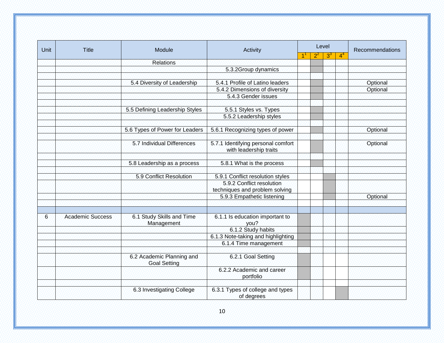| Unit | <b>Title</b>            | Module                                           | Activity                                                                                        | Level |       |                | Recommendations |
|------|-------------------------|--------------------------------------------------|-------------------------------------------------------------------------------------------------|-------|-------|----------------|-----------------|
|      |                         |                                                  |                                                                                                 | $2^2$ | $3^3$ | 4 <sup>4</sup> |                 |
|      |                         | <b>Relations</b>                                 |                                                                                                 |       |       |                |                 |
|      |                         |                                                  | 5.3.2Group dynamics                                                                             |       |       |                |                 |
|      |                         |                                                  |                                                                                                 |       |       |                |                 |
|      |                         | 5.4 Diversity of Leadership                      | 5.4.1 Profile of Latino leaders                                                                 |       |       |                | Optional        |
|      |                         |                                                  | 5.4.2 Dimensions of diversity                                                                   |       |       |                | Optional        |
|      |                         |                                                  | 5.4.3 Gender issues                                                                             |       |       |                |                 |
|      |                         |                                                  |                                                                                                 |       |       |                |                 |
|      |                         | 5.5 Defining Leadership Styles                   | 5.5.1 Styles vs. Types                                                                          |       |       |                |                 |
|      |                         |                                                  | 5.5.2 Leadership styles                                                                         |       |       |                |                 |
|      |                         |                                                  |                                                                                                 |       |       |                |                 |
|      |                         | 5.6 Types of Power for Leaders                   | 5.6.1 Recognizing types of power                                                                |       |       |                | Optional        |
|      |                         | 5.7 Individual Differences                       | 5.7.1 Identifying personal comfort<br>with leadership traits                                    |       |       |                | Optional        |
|      |                         | 5.8 Leadership as a process                      | 5.8.1 What is the process                                                                       |       |       |                |                 |
|      |                         | 5.9 Conflict Resolution                          | 5.9.1 Conflict resolution styles<br>5.9.2 Conflict resolution<br>techniques and problem solving |       |       |                |                 |
|      |                         |                                                  | 5.9.3 Empathetic listening                                                                      |       |       |                | Optional        |
| 6    | <b>Academic Success</b> | 6.1 Study Skills and Time<br>Management          | 6.1.1 Is education important to<br>you?                                                         |       |       |                |                 |
|      |                         |                                                  | 6.1.2 Study habits                                                                              |       |       |                |                 |
|      |                         |                                                  | 6.1.3 Note-taking and highlighting                                                              |       |       |                |                 |
|      |                         |                                                  | 6.1.4 Time management                                                                           |       |       |                |                 |
|      |                         |                                                  |                                                                                                 |       |       |                |                 |
|      |                         | 6.2 Academic Planning and<br><b>Goal Setting</b> | 6.2.1 Goal Setting                                                                              |       |       |                |                 |
|      |                         |                                                  | 6.2.2 Academic and career<br>portfolio                                                          |       |       |                |                 |
|      |                         | 6.3 Investigating College                        | 6.3.1 Types of college and types<br>of degrees                                                  |       |       |                |                 |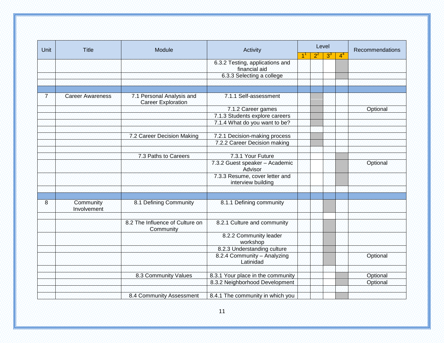| Unit         | <b>Title</b>             |                                                        | Module                                               |   | Level |       | Activity |          |  | Recommendations |
|--------------|--------------------------|--------------------------------------------------------|------------------------------------------------------|---|-------|-------|----------|----------|--|-----------------|
|              |                          |                                                        |                                                      | 1 | $2^2$ | $3^3$ | $4^4$    |          |  |                 |
|              |                          |                                                        | 6.3.2 Testing, applications and<br>financial aid     |   |       |       |          |          |  |                 |
|              |                          |                                                        | 6.3.3 Selecting a college                            |   |       |       |          |          |  |                 |
|              |                          |                                                        |                                                      |   |       |       |          |          |  |                 |
|              |                          |                                                        |                                                      |   |       |       |          |          |  |                 |
| 7.           | <b>Career Awareness</b>  | 7.1 Personal Analysis and<br><b>Career Exploration</b> | 7.1.1 Self-assessment                                |   |       |       |          |          |  |                 |
|              |                          |                                                        | 7.1.2 Career games                                   |   |       |       |          | Optional |  |                 |
|              |                          |                                                        | 7.1.3 Students explore careers                       |   |       |       |          |          |  |                 |
|              |                          |                                                        | 7.1.4 What do you want to be?                        |   |       |       |          |          |  |                 |
|              |                          |                                                        |                                                      |   |       |       |          |          |  |                 |
|              |                          | 7.2 Career Decision Making                             | 7.2.1 Decision-making process                        |   |       |       |          |          |  |                 |
|              |                          |                                                        | 7.2.2 Career Decision making                         |   |       |       |          |          |  |                 |
|              |                          |                                                        |                                                      |   |       |       |          |          |  |                 |
|              |                          | 7.3 Paths to Careers                                   | 7.3.1 Your Future                                    |   |       |       |          |          |  |                 |
|              |                          |                                                        | 7.3.2 Guest speaker - Academic<br>Advisor            |   |       |       |          | Optional |  |                 |
|              |                          |                                                        | 7.3.3 Resume, cover letter and<br>interview building |   |       |       |          |          |  |                 |
|              |                          |                                                        |                                                      |   |       |       |          |          |  |                 |
| $\mathbf{8}$ | Community<br>Involvement | 8.1 Defining Community                                 | 8.1.1 Defining community                             |   |       |       |          |          |  |                 |
|              |                          | 8.2 The Influence of Culture on<br>Community           | 8.2.1 Culture and community                          |   |       |       |          |          |  |                 |
|              |                          |                                                        | 8.2.2 Community leader<br>workshop                   |   |       |       |          |          |  |                 |
|              |                          |                                                        | 8.2.3 Understanding culture                          |   |       |       |          |          |  |                 |
|              |                          |                                                        | 8.2.4 Community - Analyzing<br>Latinidad             |   |       |       |          | Optional |  |                 |
|              |                          | 8.3 Community Values                                   | 8.3.1 Your place in the community                    |   |       |       |          | Optional |  |                 |
|              |                          |                                                        | 8.3.2 Neighborhood Development                       |   |       |       |          | Optional |  |                 |
|              |                          |                                                        |                                                      |   |       |       |          |          |  |                 |
|              |                          | 8.4 Community Assessment                               | 8.4.1 The community in which you                     |   |       |       |          |          |  |                 |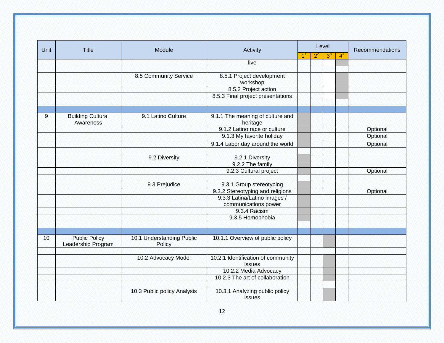| <b>Unit</b>     | <b>Title</b>                               | Module                                     | Activity                                             | Level |       |       |                | Recommendations |
|-----------------|--------------------------------------------|--------------------------------------------|------------------------------------------------------|-------|-------|-------|----------------|-----------------|
|                 |                                            |                                            |                                                      |       | $2^2$ | $3^3$ | 4 <sup>4</sup> |                 |
|                 |                                            |                                            | live                                                 |       |       |       |                |                 |
|                 |                                            |                                            |                                                      |       |       |       |                |                 |
|                 |                                            | 8.5 Community Service                      | 8.5.1 Project development<br>workshop                |       |       |       |                |                 |
|                 |                                            |                                            | 8.5.2 Project action                                 |       |       |       |                |                 |
|                 |                                            |                                            | 8.5.3 Final project presentations                    |       |       |       |                |                 |
|                 |                                            |                                            |                                                      |       |       |       |                |                 |
|                 |                                            |                                            |                                                      |       |       |       |                |                 |
| $\overline{9}$  | <b>Building Cultural</b><br>Awareness      | 9.1 Latino Culture                         | 9.1.1 The meaning of culture and<br>heritage         |       |       |       |                |                 |
|                 |                                            |                                            | 9.1.2 Latino race or culture                         |       |       |       |                | Optional        |
|                 |                                            |                                            | 9.1.3 My favorite holiday                            |       |       |       |                | Optional        |
|                 |                                            |                                            | 9.1.4 Labor day around the world                     |       |       |       |                | Optional        |
|                 |                                            |                                            |                                                      |       |       |       |                |                 |
|                 |                                            | 9.2 Diversity                              | 9.2.1 Diversity                                      |       |       |       |                |                 |
|                 |                                            |                                            | 9.2.2 The family                                     |       |       |       |                |                 |
|                 |                                            |                                            | 9.2.3 Cultural project                               |       |       |       |                | Optional        |
|                 |                                            |                                            |                                                      |       |       |       |                |                 |
|                 |                                            | 9.3 Prejudice                              | 9.3.1 Group stereotyping                             |       |       |       |                |                 |
|                 |                                            |                                            | 9.3.2 Stereotyping and religions                     |       |       |       |                | Optional        |
|                 |                                            |                                            | 9.3.3 Latina/Latino images /<br>communications power |       |       |       |                |                 |
|                 |                                            |                                            | 9.3.4 Racism                                         |       |       |       |                |                 |
|                 |                                            |                                            | 9.3.5 Homophobia                                     |       |       |       |                |                 |
|                 |                                            |                                            |                                                      |       |       |       |                |                 |
|                 |                                            |                                            |                                                      |       |       |       |                |                 |
| 10 <sup>1</sup> | <b>Public Policy</b><br>Leadership Program | 10.1 Understanding Public<br><b>Policy</b> | 10.1.1 Overview of public policy                     |       |       |       |                |                 |
|                 |                                            |                                            |                                                      |       |       |       |                |                 |
|                 |                                            | 10.2 Advocacy Model                        | 10.2.1 Identification of community<br><b>issues</b>  |       |       |       |                |                 |
|                 |                                            |                                            | 10.2.2 Media Advocacy                                |       |       |       |                |                 |
|                 |                                            |                                            | 10.2.3 The art of collaboration                      |       |       |       |                |                 |
|                 |                                            |                                            |                                                      |       |       |       |                |                 |
|                 |                                            | 10.3 Public policy Analysis                | 10.3.1 Analyzing public policy<br><b>issues</b>      |       |       |       |                |                 |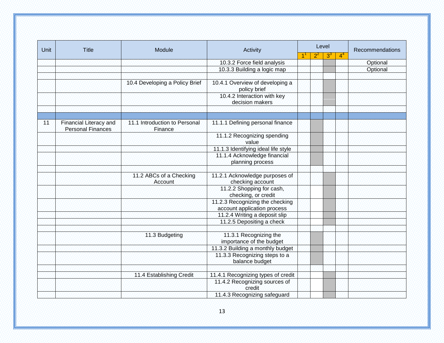| Unit | Title                                              | Module                                   | Activity                                                       | Level |       |       | <b>Recommendations</b> |          |
|------|----------------------------------------------------|------------------------------------------|----------------------------------------------------------------|-------|-------|-------|------------------------|----------|
|      |                                                    |                                          |                                                                |       | $2^2$ | $3^3$ | 4 <sup>4</sup>         |          |
|      |                                                    |                                          | 10.3.2 Force field analysis                                    |       |       |       |                        | Optional |
|      |                                                    |                                          | 10.3.3 Building a logic map                                    |       |       |       |                        | Optional |
|      |                                                    |                                          |                                                                |       |       |       |                        |          |
|      |                                                    | 10.4 Developing a Policy Brief           | 10.4.1 Overview of developing a<br>policy brief                |       |       |       |                        |          |
|      |                                                    |                                          | 10.4.2 Interaction with key<br>decision makers                 |       |       |       |                        |          |
|      |                                                    |                                          |                                                                |       |       |       |                        |          |
|      |                                                    |                                          |                                                                |       |       |       |                        |          |
| 91   | Financial Literacy and<br><b>Personal Finances</b> | 11.1 Introduction to Personal<br>Finance | 11.1.1 Defining personal finance                               |       |       |       |                        |          |
|      |                                                    |                                          | 11.1.2 Recognizing spending<br>value                           |       |       |       |                        |          |
|      |                                                    |                                          | 11.1.3 Identifying ideal life style                            |       |       |       |                        |          |
|      |                                                    |                                          | 11.1.4 Acknowledge financial                                   |       |       |       |                        |          |
|      |                                                    |                                          | planning process                                               |       |       |       |                        |          |
|      |                                                    |                                          |                                                                |       |       |       |                        |          |
|      |                                                    | 11.2 ABCs of a Checking<br>Account       | 11.2.1 Acknowledge purposes of<br>checking account             |       |       |       |                        |          |
|      |                                                    |                                          | 11.2.2 Shopping for cash,<br>checking, or credit               |       |       |       |                        |          |
|      |                                                    |                                          | 11.2.3 Recognizing the checking<br>account application process |       |       |       |                        |          |
|      |                                                    |                                          | 11.2.4 Writing a deposit slip                                  |       |       |       |                        |          |
|      |                                                    |                                          | 11.2.5 Depositing a check                                      |       |       |       |                        |          |
|      |                                                    |                                          |                                                                |       |       |       |                        |          |
|      |                                                    | 11.3 Budgeting                           | 11.3.1 Recognizing the<br>importance of the budget             |       |       |       |                        |          |
|      |                                                    |                                          | 11.3.2 Building a monthly budget                               |       |       |       |                        |          |
|      |                                                    |                                          | 11.3.3 Recognizing steps to a<br>balance budget                |       |       |       |                        |          |
|      |                                                    |                                          |                                                                |       |       |       |                        |          |
|      |                                                    | 11.4 Establishing Credit                 | 11.4.1 Recognizing types of credit                             |       |       |       |                        |          |
|      |                                                    |                                          | 11.4.2 Recognizing sources of<br>credit                        |       |       |       |                        |          |
|      |                                                    |                                          | 11.4.3 Recognizing safeguard                                   |       |       |       |                        |          |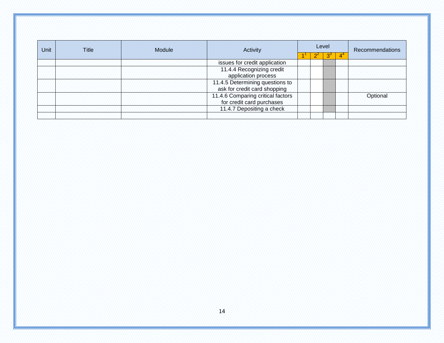| <b>Unit</b><br>Title |                                                                |                                             |  |       | Recommendations |
|----------------------|----------------------------------------------------------------|---------------------------------------------|--|-------|-----------------|
|                      |                                                                |                                             |  |       |                 |
|                      | issues for credit application                                  |                                             |  |       |                 |
|                      | 11.4.4 Recognizing credit<br>application process               |                                             |  |       |                 |
|                      | ask for credit card shopping                                   |                                             |  |       |                 |
|                      | 11.4.6 Comparing critical factors<br>for credit card purchases |                                             |  |       | Optional        |
|                      | 11.4.7 Depositing a check                                      |                                             |  |       |                 |
|                      | Module                                                         | Activity<br>11.4.5 Determining questions to |  | Level |                 |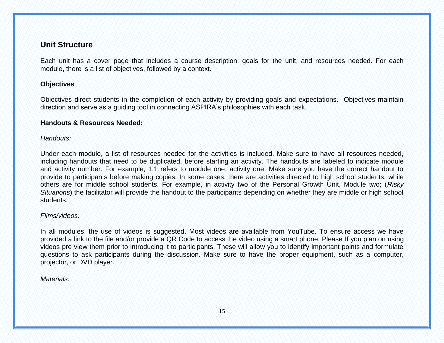# **Unit Structure**

Each unit has a cover page that includes a course description, goals for the unit, and resources needed. For each module, there is a list of objectives, followed by a context.

#### **Objectives**

Objectives direct students in the completion of each activity by providing goals and expectations. Objectives maintain direction and serve as a guiding tool in connecting ASPIRA's philosophies with each task.

#### **Handouts & Resources Needed:**

#### *Handouts:*

Under each module, a list of resources needed for the activities is included. Make sure to have all resources needed, including handouts that need to be duplicated, before starting an activity. The handouts are labeled to indicate module and activity number. For example, 1.1 refers to module one, activity one. Make sure you have the correct handout to provide to participants before making copies. In some cases, there are activities directed to high school students, while others are for middle school students. For example, in activity two of the Personal Growth Unit, Module two; (*Risky Situations*) the facilitator will provide the handout to the participants depending on whether they are middle or high school students.

#### *Films/videos:*

In all modules, the use of videos is suggested. Most videos are available from YouTube. To ensure access we have provided a link to the file and/or provide a QR Code to access the video using a smart phone. Please If you plan on using videos pre view them prior to introducing it to participants. These will allow you to identify important points and formulate questions to ask participants during the discussion. Make sure to have the proper equipment, such as a computer, projector, or DVD player.

#### *Materials:*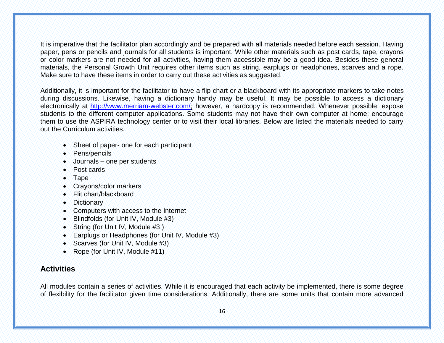It is imperative that the facilitator plan accordingly and be prepared with all materials needed before each session. Having paper, pens or pencils and journals for all students is important. While other materials such as post cards, tape, crayons or color markers are not needed for all activities, having them accessible may be a good idea. Besides these general materials, the Personal Growth Unit requires other items such as string, earplugs or headphones, scarves and a rope. Make sure to have these items in order to carry out these activities as suggested.

Additionally, it is important for the facilitator to have a flip chart or a blackboard with its appropriate markers to take notes during discussions. Likewise, having a dictionary handy may be useful. It may be possible to access a dictionary electronically at [http://www.merriam-webster.com/;](http://www.merriam-webster.com/) however, a hardcopy is recommended. Whenever possible, expose students to the different computer applications. Some students may not have their own computer at home; encourage them to use the ASPIRA technology center or to visit their local libraries. Below are listed the materials needed to carry out the Curriculum activities.

- Sheet of paper- one for each participant
- Pens/pencils
- Journals one per students
- Post cards
- $\bullet$  Tape
- Crayons/color markers
- Flit chart/blackboard
- Dictionary
- Computers with access to the Internet
- Blindfolds (for Unit IV, Module #3)
- String (for Unit IV, Module #3)
- Earplugs or Headphones (for Unit IV, Module #3)
- Scarves (for Unit IV, Module #3)
- Rope (for Unit IV, Module #11)

# **Activities**

All modules contain a series of activities. While it is encouraged that each activity be implemented, there is some degree of flexibility for the facilitator given time considerations. Additionally, there are some units that contain more advanced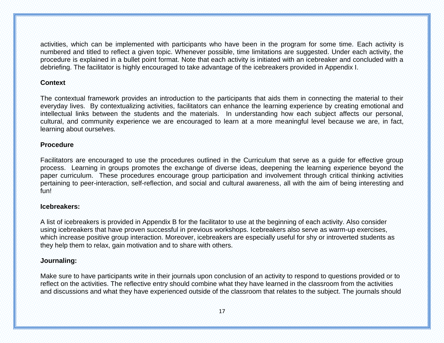activities, which can be implemented with participants who have been in the program for some time. Each activity is numbered and titled to reflect a given topic. Whenever possible, time limitations are suggested. Under each activity, the procedure is explained in a bullet point format. Note that each activity is initiated with an icebreaker and concluded with a debriefing. The facilitator is highly encouraged to take advantage of the icebreakers provided in Appendix I.

#### **Context**

The contextual framework provides an introduction to the participants that aids them in connecting the material to their everyday lives. By contextualizing activities, facilitators can enhance the learning experience by creating emotional and intellectual links between the students and the materials. In understanding how each subject affects our personal, cultural, and community experience we are encouraged to learn at a more meaningful level because we are, in fact, learning about ourselves.

#### **Procedure**

Facilitators are encouraged to use the procedures outlined in the Curriculum that serve as a guide for effective group process. Learning in groups promotes the exchange of diverse ideas, deepening the learning experience beyond the paper curriculum. These procedures encourage group participation and involvement through critical thinking activities pertaining to peer-interaction, self-reflection, and social and cultural awareness, all with the aim of being interesting and fun!

#### **Icebreakers:**

A list of icebreakers is provided in Appendix B for the facilitator to use at the beginning of each activity. Also consider using icebreakers that have proven successful in previous workshops. Icebreakers also serve as warm-up exercises, which increase positive group interaction. Moreover, icebreakers are especially useful for shy or introverted students as they help them to relax, gain motivation and to share with others.

#### **Journaling:**

Make sure to have participants write in their journals upon conclusion of an activity to respond to questions provided or to reflect on the activities. The reflective entry should combine what they have learned in the classroom from the activities and discussions and what they have experienced outside of the classroom that relates to the subject. The journals should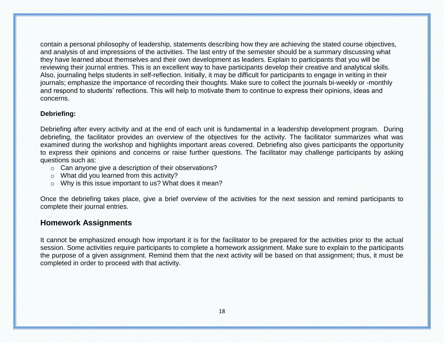contain a personal philosophy of leadership, statements describing how they are achieving the stated course objectives, and analysis of and impressions of the activities. The last entry of the semester should be a summary discussing what they have learned about themselves and their own development as leaders. Explain to participants that you will be reviewing their journal entries. This is an excellent way to have participants develop their creative and analytical skills. Also, journaling helps students in self-reflection. Initially, it may be difficult for participants to engage in writing in their journals; emphasize the importance of recording their thoughts. Make sure to collect the journals bi-weekly or -monthly and respond to students' reflections. This will help to motivate them to continue to express their opinions, ideas and concerns.

#### **Debriefing:**

Debriefing after every activity and at the end of each unit is fundamental in a leadership development program. During debriefing, the facilitator provides an overview of the objectives for the activity. The facilitator summarizes what was examined during the workshop and highlights important areas covered. Debriefing also gives participants the opportunity to express their opinions and concerns or raise further questions. The facilitator may challenge participants by asking questions such as:

- o Can anyone give a description of their observations?
- o What did you learned from this activity?
- o Why is this issue important to us? What does it mean?

Once the debriefing takes place, give a brief overview of the activities for the next session and remind participants to complete their journal entries.

# **Homework Assignments**

It cannot be emphasized enough how important it is for the facilitator to be prepared for the activities prior to the actual session. Some activities require participants to complete a homework assignment. Make sure to explain to the participants the purpose of a given assignment. Remind them that the next activity will be based on that assignment; thus, it must be completed in order to proceed with that activity.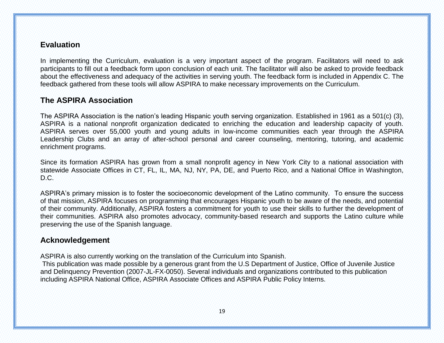# **Evaluation**

In implementing the Curriculum, evaluation is a very important aspect of the program. Facilitators will need to ask participants to fill out a feedback form upon conclusion of each unit. The facilitator will also be asked to provide feedback about the effectiveness and adequacy of the activities in serving youth. The feedback form is included in Appendix C. The feedback gathered from these tools will allow ASPIRA to make necessary improvements on the Curriculum.

# **The ASPIRA Association**

The ASPIRA Association is the nation's leading Hispanic youth serving organization. Established in 1961 as a 501(c) (3), ASPIRA is a national nonprofit organization dedicated to enriching the education and leadership capacity of youth. ASPIRA serves over 55,000 youth and young adults in low-income communities each year through the ASPIRA Leadership Clubs and an array of after-school personal and career counseling, mentoring, tutoring, and academic enrichment programs.

Since its formation ASPIRA has grown from a small nonprofit agency in New York City to a national association with statewide Associate Offices in CT, FL, IL, MA, NJ, NY, PA, DE, and Puerto Rico, and a National Office in Washington, D.C.

ASPIRA's primary mission is to foster the socioeconomic development of the Latino community. To ensure the success of that mission, ASPIRA focuses on programming that encourages Hispanic youth to be aware of the needs, and potential of their community. Additionally, ASPIRA fosters a commitment for youth to use their skills to further the development of their communities. ASPIRA also promotes advocacy, community-based research and supports the Latino culture while preserving the use of the Spanish language.

# **Acknowledgement**

ASPIRA is also currently working on the translation of the Curriculum into Spanish.

This publication was made possible by a generous grant from the U.S Department of Justice, Office of Juvenile Justice and Delinquency Prevention (2007-JL-FX-0050). Several individuals and organizations contributed to this publication including ASPIRA National Office, ASPIRA Associate Offices and ASPIRA Public Policy Interns.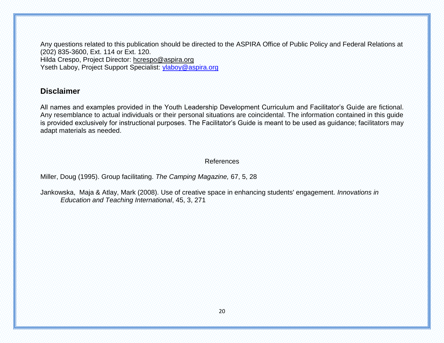Any questions related to this publication should be directed to the ASPIRA Office of Public Policy and Federal Relations at (202) 835-3600, Ext. 114 or Ext. 120. Hilda Crespo, Project Director: [hcrespo@aspira.org](mailto:hcrespo@aspira.org) Yseth Laboy, Project Support Specialist: [ylaboy@aspira.org](mailto:ylaboy@aspira.org)

# **Disclaimer**

All names and examples provided in the Youth Leadership Development Curriculum and Facilitator's Guide are fictional. Any resemblance to actual individuals or their personal situations are coincidental. The information contained in this guide is provided exclusively for instructional purposes. The Facilitator's Guide is meant to be used as guidance; facilitators may adapt materials as needed.

References

Miller, Doug (1995). Group facilitating. *The Camping Magazine,* 67, 5, 28

Jankowska, Maja & Atlay, Mark (2008). Use of creative space in enhancing students' engagement. *Innovations in Education and Teaching International*, 45, 3, 271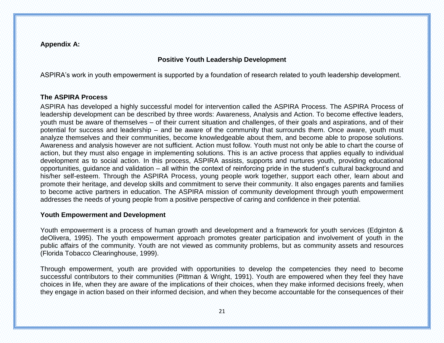**Appendix A:**

#### **Positive Youth Leadership Development**

ASPIRA's work in youth empowerment is supported by a foundation of research related to youth leadership development.

#### **The ASPIRA Process**

ASPIRA has developed a highly successful model for intervention called the ASPIRA Process. The ASPIRA Process of leadership development can be described by three words: Awareness, Analysis and Action. To become effective leaders, youth must be aware of themselves – of their current situation and challenges, of their goals and aspirations, and of their potential for success and leadership – and be aware of the community that surrounds them. Once aware, youth must analyze themselves and their communities, become knowledgeable about them, and become able to propose solutions. Awareness and analysis however are not sufficient. Action must follow. Youth must not only be able to chart the course of action, but they must also engage in implementing solutions. This is an active process that applies equally to individual development as to social action. In this process, ASPIRA assists, supports and nurtures youth, providing educational opportunities, guidance and validation – all within the context of reinforcing pride in the student's cultural background and his/her self-esteem. Through the ASPIRA Process, young people work together, support each other, learn about and promote their heritage, and develop skills and commitment to serve their community. It also engages parents and families to become active partners in education. The ASPIRA mission of community development through youth empowerment addresses the needs of young people from a positive perspective of caring and confidence in their potential.

#### **Youth Empowerment and Development**

Youth empowerment is a process of human growth and development and a framework for youth services (Edginton & deOlivera, 1995). The youth empowerment approach promotes greater participation and involvement of youth in the public affairs of the community. Youth are not viewed as community problems, but as community assets and resources (Florida Tobacco Clearinghouse, 1999).

Through empowerment, youth are provided with opportunities to develop the competencies they need to become successful contributors to their communities (Pittman & Wright, 1991). Youth are empowered when they feel they have choices in life, when they are aware of the implications of their choices, when they make informed decisions freely, when they engage in action based on their informed decision, and when they become accountable for the consequences of their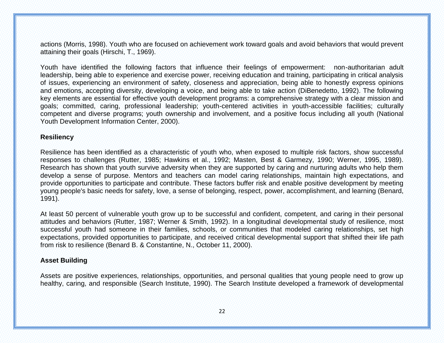actions (Morris, 1998). Youth who are focused on achievement work toward goals and avoid behaviors that would prevent attaining their goals (Hirschi, T., 1969).

Youth have identified the following factors that influence their feelings of empowerment: non-authoritarian adult leadership, being able to experience and exercise power, receiving education and training, participating in critical analysis of issues, experiencing an environment of safety, closeness and appreciation, being able to honestly express opinions and emotions, accepting diversity, developing a voice, and being able to take action (DiBenedetto, 1992). The following key elements are essential for effective youth development programs: a comprehensive strategy with a clear mission and goals; committed, caring, professional leadership; youth-centered activities in youth-accessible facilities; culturally competent and diverse programs; youth ownership and involvement, and a positive focus including all youth (National Youth Development Information Center, 2000).

#### **Resiliency**

Resilience has been identified as a characteristic of youth who, when exposed to multiple risk factors, show successful responses to challenges (Rutter, 1985; Hawkins et al., 1992; Masten, Best & Garmezy, 1990; Werner, 1995, 1989). Research has shown that youth survive adversity when they are supported by caring and nurturing adults who help them develop a sense of purpose. Mentors and teachers can model caring relationships, maintain high expectations, and provide opportunities to participate and contribute. These factors buffer risk and enable positive development by meeting young people's basic needs for safety, love, a sense of belonging, respect, power, accomplishment, and learning (Benard, 1991).

At least 50 percent of vulnerable youth grow up to be successful and confident, competent, and caring in their personal attitudes and behaviors (Rutter, 1987; Werner & Smith, 1992). In a longitudinal developmental study of resilience, most successful youth had someone in their families, schools, or communities that modeled caring relationships, set high expectations, provided opportunities to participate, and received critical developmental support that shifted their life path from risk to resilience (Benard B. & Constantine, N., October 11, 2000).

#### **Asset Building**

Assets are positive experiences, relationships, opportunities, and personal qualities that young people need to grow up healthy, caring, and responsible (Search Institute, 1990). The Search Institute developed a framework of developmental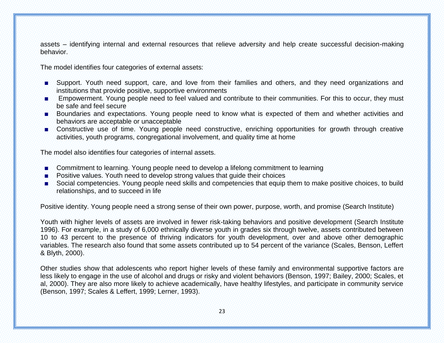assets – identifying internal and external resources that relieve adversity and help create successful decision-making behavior.

The model identifies four categories of external assets:

- Support. Youth need support, care, and love from their families and others, and they need organizations and institutions that provide positive, supportive environments
- **Empowerment. Young people need to feel valued and contribute to their communities. For this to occur, they must** be safe and feel secure
- Boundaries and expectations. Young people need to know what is expected of them and whether activities and behaviors are acceptable or unacceptable
- Constructive use of time. Young people need constructive, enriching opportunities for growth through creative activities, youth programs, congregational involvement, and quality time at home

The model also identifies four categories of internal assets.

- Commitment to learning. Young people need to develop a lifelong commitment to learning
- **Positive values. Youth need to develop strong values that guide their choices**
- Social competencies. Young people need skills and competencies that equip them to make positive choices, to build relationships, and to succeed in life

Positive identity. Young people need a strong sense of their own power, purpose, worth, and promise (Search Institute)

Youth with higher levels of assets are involved in fewer risk-taking behaviors and positive development (Search Institute 1996). For example, in a study of 6,000 ethnically diverse youth in grades six through twelve, assets contributed between 10 to 43 percent to the presence of thriving indicators for youth development, over and above other demographic variables. The research also found that some assets contributed up to 54 percent of the variance (Scales, Benson, Leffert & Blyth, 2000).

Other studies show that adolescents who report higher levels of these family and environmental supportive factors are less likely to engage in the use of alcohol and drugs or risky and violent behaviors (Benson, 1997; Bailey, 2000; Scales, et al, 2000). They are also more likely to achieve academically, have healthy lifestyles, and participate in community service (Benson, 1997; Scales & Leffert, 1999; Lerner, 1993).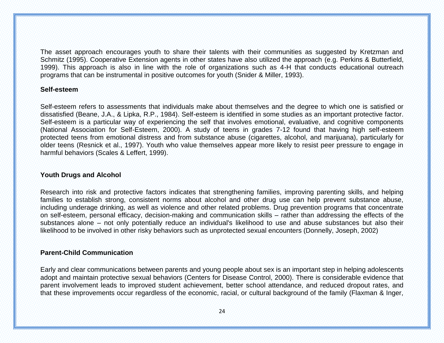The asset approach encourages youth to share their talents with their communities as suggested by Kretzman and Schmitz (1995). Cooperative Extension agents in other states have also utilized the approach (e.g. Perkins & Butterfield, 1999). This approach is also in line with the role of organizations such as 4-H that conducts educational outreach programs that can be instrumental in positive outcomes for youth (Snider & Miller, 1993).

#### **Self-esteem**

Self-esteem refers to assessments that individuals make about themselves and the degree to which one is satisfied or dissatisfied (Beane, J.A., & Lipka, R.P., 1984). Self-esteem is identified in some studies as an important protective factor. Self-esteem is a particular way of experiencing the self that involves emotional, evaluative, and cognitive components (National Association for Self-Esteem, 2000). A study of teens in grades 7-12 found that having high self-esteem protected teens from emotional distress and from substance abuse (cigarettes, alcohol, and marijuana), particularly for older teens (Resnick et al., 1997). Youth who value themselves appear more likely to resist peer pressure to engage in harmful behaviors (Scales & Leffert, 1999).

#### **Youth Drugs and Alcohol**

Research into risk and protective factors indicates that strengthening families, improving parenting skills, and helping families to establish strong, consistent norms about alcohol and other drug use can help prevent substance abuse, including underage drinking, as well as violence and other related problems. Drug prevention programs that concentrate on self-esteem, personal efficacy, decision-making and communication skills – rather than addressing the effects of the substances alone – not only potentially reduce an individual's likelihood to use and abuse substances but also their likelihood to be involved in other risky behaviors such as unprotected sexual encounters (Donnelly, Joseph, 2002)

#### **Parent-Child Communication**

Early and clear communications between parents and young people about sex is an important step in helping adolescents adopt and maintain protective sexual behaviors (Centers for Disease Control, 2000). There is considerable evidence that parent involvement leads to improved student achievement, better school attendance, and reduced dropout rates, and that these improvements occur regardless of the economic, racial, or cultural background of the family (Flaxman & Inger,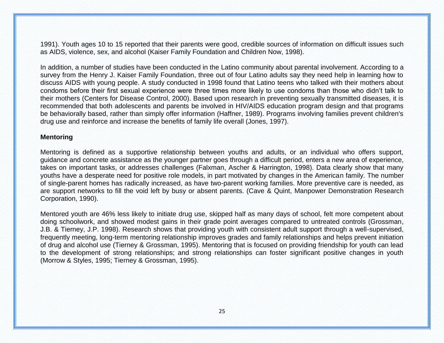1991). Youth ages 10 to 15 reported that their parents were good, credible sources of information on difficult issues such as AIDS, violence, sex, and alcohol (Kaiser Family Foundation and Children Now, 1998).

In addition, a number of studies have been conducted in the Latino community about parental involvement. According to a survey from the Henry J. Kaiser Family Foundation, three out of four Latino adults say they need help in learning how to discuss AIDS with young people. A study conducted in 1998 found that Latino teens who talked with their mothers about condoms before their first sexual experience were three times more likely to use condoms than those who didn't talk to their mothers (Centers for Disease Control, 2000). Based upon research in preventing sexually transmitted diseases, it is recommended that both adolescents and parents be involved in HIV/AIDS education program design and that programs be behaviorally based, rather than simply offer information (Haffner, 1989). Programs involving families prevent children's drug use and reinforce and increase the benefits of family life overall (Jones, 1997).

#### **Mentoring**

Mentoring is defined as a supportive relationship between youths and adults, or an individual who offers support, guidance and concrete assistance as the younger partner goes through a difficult period, enters a new area of experience, takes on important tasks, or addresses challenges (Falxman, Ascher & Harrington, 1998). Data clearly show that many youths have a desperate need for positive role models, in part motivated by changes in the American family. The number of single-parent homes has radically increased, as have two-parent working families. More preventive care is needed, as are support networks to fill the void left by busy or absent parents. (Cave & Quint, Manpower Demonstration Research Corporation, 1990).

Mentored youth are 46% less likely to initiate drug use, skipped half as many days of school, felt more competent about doing schoolwork, and showed modest gains in their grade point averages compared to untreated controls (Grossman, J.B. & Tierney, J.P. 1998). Research shows that providing youth with consistent adult support through a well-supervised, frequently meeting, long-term mentoring relationship improves grades and family relationships and helps prevent initiation of drug and alcohol use (Tierney & Grossman, 1995). Mentoring that is focused on providing friendship for youth can lead to the development of strong relationships; and strong relationships can foster significant positive changes in youth (Morrow & Styles, 1995; Tierney & Grossman, 1995).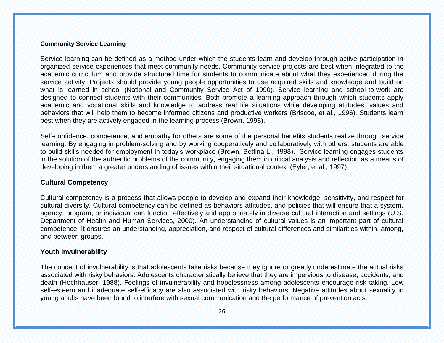#### **Community Service Learning**

Service learning can be defined as a method under which the students learn and develop through active participation in organized service experiences that meet community needs. Community service projects are best when integrated to the academic curriculum and provide structured time for students to communicate about what they experienced during the service activity. Projects should provide young people opportunities to use acquired skills and knowledge and build on what is learned in school (National and Community Service Act of 1990). Service learning and school-to-work are designed to connect students with their communities. Both promote a learning approach through which students apply academic and vocational skills and knowledge to address real life situations while developing attitudes, values and behaviors that will help them to become informed citizens and productive workers (Briscoe, et al., 1996). Students learn best when they are actively engaged in the learning process (Brown, 1998).

Self-confidence, competence, and empathy for others are some of the personal benefits students realize through service learning. By engaging in problem-solving and by working cooperatively and collaboratively with others, students are able to build skills needed for employment in today's workplace (Brown, Bettina L., 1998). Service learning engages students in the solution of the authentic problems of the community, engaging them in critical analysis and reflection as a means of developing in them a greater understanding of issues within their situational context (Eyler, et al., 1997).

#### **Cultural Competency**

Cultural competency is a process that allows people to develop and expand their knowledge, sensitivity, and respect for cultural diversity. Cultural competency can be defined as behaviors attitudes, and policies that will ensure that a system, agency, program, or individual can function effectively and appropriately in diverse cultural interaction and settings (U.S. Department of Health and Human Services, 2000). An understanding of cultural values is an important part of cultural competence. It ensures an understanding, appreciation, and respect of cultural differences and similarities within, among, and between groups.

#### **Youth Invulnerability**

The concept of invulnerability is that adolescents take risks because they ignore or greatly underestimate the actual risks associated with risky behaviors. Adolescents characteristically believe that they are impervious to disease, accidents, and death (Hochhauser, 1988). Feelings of invulnerability and hopelessness among adolescents encourage risk-taking. Low self-esteem and inadequate self-efficacy are also associated with risky behaviors. Negative attitudes about sexuality in young adults have been found to interfere with sexual communication and the performance of prevention acts.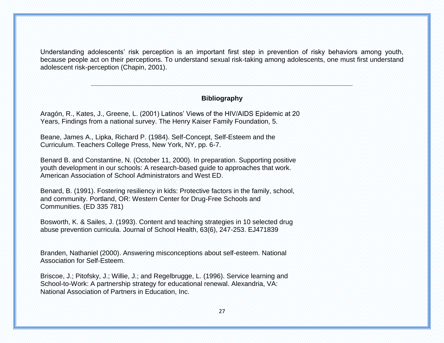Understanding adolescents' risk perception is an important first step in prevention of risky behaviors among youth, because people act on their perceptions. To understand sexual risk-taking among adolescents, one must first understand adolescent risk-perception (Chapin, 2001).

#### **Bibliography**

**\_\_\_\_\_\_\_\_\_\_\_\_\_\_\_\_\_\_\_\_\_\_\_\_\_\_\_\_\_\_\_\_\_\_\_\_\_\_\_\_\_\_\_\_\_\_\_\_\_\_\_\_\_\_\_\_\_\_\_\_\_\_\_\_\_\_\_\_\_\_**

Aragón, R., Kates, J., Greene, L. (2001) Latinos' Views of the HIV/AIDS Epidemic at 20 Years, Findings from a national survey. The Henry Kaiser Family Foundation, 5.

Beane, James A., Lipka, Richard P. (1984). Self-Concept, Self-Esteem and the Curriculum. Teachers College Press, New York, NY, pp. 6-7.

Benard B. and Constantine, N. (October 11, 2000). In preparation. Supporting positive youth development in our schools: A research-based guide to approaches that work. American Association of School Administrators and West ED.

Benard, B. (1991). Fostering resiliency in kids: Protective factors in the family, school, and community. Portland, OR: Western Center for Drug-Free Schools and Communities. (ED 335 781)

Bosworth, K. & Sailes, J. (1993). Content and teaching strategies in 10 selected drug abuse prevention curricula. Journal of School Health, 63(6), 247-253. EJ471839

Branden, Nathaniel (2000). Answering misconceptions about self-esteem. National Association for Self-Esteem.

Briscoe, J.; Pitofsky, J.; Willie, J.; and Regelbrugge, L. (1996). Service learning and School-to-Work: A partnership strategy for educational renewal. Alexandria, VA: National Association of Partners in Education, Inc.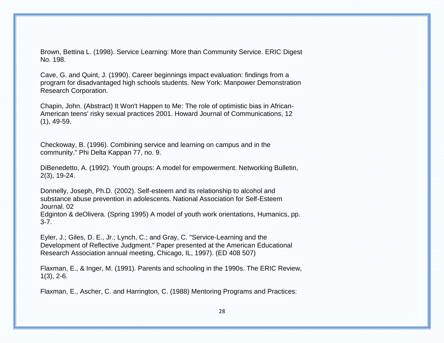Brown, Bettina L. (1998). Service Learning: More than Community Service. ERIC Digest No. 198.

Cave, G. and Quint, J. (1990). Career beginnings impact evaluation: findings from a program for disadvantaged high schools students. New York: Manpower Demonstration Research Corporation.

Chapin, John. (Abstract) It Won't Happen to Me: The role of optimistic bias in African-American teens' risky sexual practices 2001. Howard Journal of Communications, 12 (1), 49-59.

Checkoway, B. (1996). Combining service and learning on campus and in the community." Phi Delta Kappan 77, no. 9.

DiBenedetto, A. (1992). Youth groups: A model for empowerment. Networking Bulletin, 2(3), 19-24.

Donnelly, Joseph, Ph.D. (2002). Self-esteem and its relationship to alcohol and substance abuse prevention in adolescents. National Association for Self-Esteem Journal. 02

Edginton & deOlivera. (Spring 1995) A model of youth work orientations, Humanics, pp. 3-7.

Eyler, J.; Giles, D. E., Jr.; Lynch, C.; and Gray, C. "Service-Learning and the Development of Reflective Judgment." Paper presented at the American Educational Research Association annual meeting, Chicago, IL, 1997). (ED 408 507)

Flaxman, E., & Inger, M. (1991). Parents and schooling in the 1990s. The ERIC Review, 1(3), 2-6.

Flaxman, E., Ascher, C. and Harrington, C. (1988) Mentoring Programs and Practices: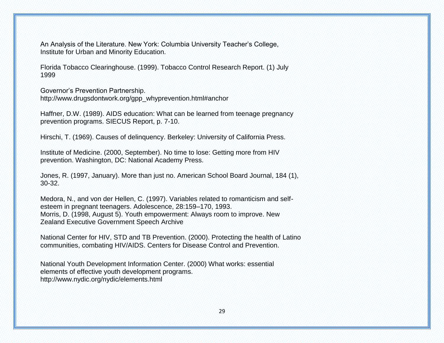An Analysis of the Literature. New York: Columbia University Teacher's College, Institute for Urban and Minority Education.

Florida Tobacco Clearinghouse. (1999). Tobacco Control Research Report. (1) July 1999

Governor's Prevention Partnership. [http://www.drugsdontwork.org/gpp\\_whyprevention.html#anchor](http://www.drugsdontwork.org/gpp_whyprevention.html#anchor)

Haffner, D.W. (1989). AIDS education: What can be learned from teenage pregnancy prevention programs. SIECUS Report, p. 7-10.

Hirschi, T. (1969). Causes of delinquency. Berkeley: University of California Press.

Institute of Medicine. (2000, September). No time to lose: Getting more from HIV prevention. Washington, DC: National Academy Press.

Jones, R. (1997, January). More than just no. American School Board Journal, 184 (1), 30-32.

Medora, N., and von der Hellen, C. (1997). Variables related to romanticism and selfesteem in pregnant teenagers. Adolescence, 28:159–170, 1993. Morris, D. (1998, August 5). Youth empowerment: Always room to improve. New Zealand Executive Government Speech Archive

National Center for HIV, STD and TB Prevention. (2000). Protecting the health of Latino communities, combating HIV/AIDS. Centers for Disease Control and Prevention.

National Youth Development Information Center. (2000) What works: essential elements of effective youth development programs. <http://www.nydic.org/nydic/elements.html>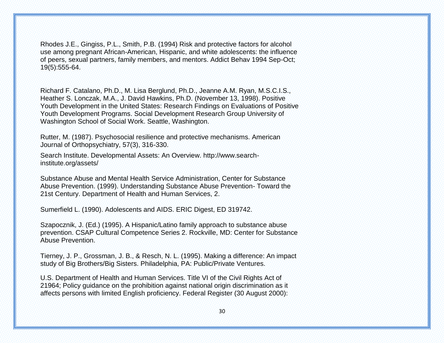Rhodes J.E., Gingiss, P.L., Smith, P.B. (1994) Risk and protective factors for alcohol use among pregnant African-American, Hispanic, and white adolescents: the influence of peers, sexual partners, family members, and mentors. Addict Behav 1994 Sep-Oct; 19(5):555-64.

Richard F. Catalano, Ph.D., M. Lisa Berglund, Ph.D., Jeanne A.M. Ryan, M.S.C.I.S., Heather S. Lonczak, M.A., J. David Hawkins, Ph.D. (November 13, 1998). Positive Youth Development in the United States: Research Findings on Evaluations of Positive Youth Development Programs. Social Development Research Group University of Washington School of Social Work. Seattle, Washington.

Rutter, M. (1987). Psychosocial resilience and protective mechanisms. American Journal of Orthopsychiatry, 57(3), 316-330.

Search Institute. Developmental Assets: An Overview. http://www.searchinstitute.org/assets/

Substance Abuse and Mental Health Service Administration, Center for Substance Abuse Prevention. (1999). Understanding Substance Abuse Prevention- Toward the 21st Century. Department of Health and Human Services, 2.

Sumerfield L. (1990). Adolescents and AIDS. ERIC Digest, ED 319742.

Szapocznik, J. (Ed.) (1995). A Hispanic/Latino family approach to substance abuse prevention. CSAP Cultural Competence Series 2. Rockville, MD: Center for Substance Abuse Prevention.

Tierney, J. P., Grossman, J. B., & Resch, N. L. (1995). Making a difference: An impact study of Big Brothers/Big Sisters. Philadelphia, PA: Public/Private Ventures.

U.S. Department of Health and Human Services. Title VI of the Civil Rights Act of 21964; Policy guidance on the prohibition against national origin discrimination as it affects persons with limited English proficiency. Federal Register (30 August 2000):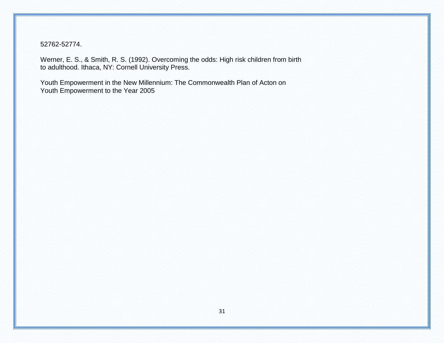52762-52774.

Werner, E. S., & Smith, R. S. (1992). Overcoming the odds: High risk children from birth to adulthood. Ithaca, NY: Cornell University Press.

Youth Empowerment in the New Millennium: The Commonwealth Plan of Acton on Youth Empowerment to the Year 2005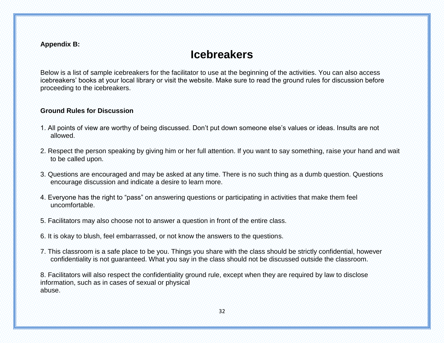#### **Appendix B:**

# **Icebreakers**

Below is a list of sample icebreakers for the facilitator to use at the beginning of the activities. You can also access icebreakers' books at your local library or visit the website. Make sure to read the ground rules for discussion before proceeding to the icebreakers.

#### **Ground Rules for Discussion**

- 1. All points of view are worthy of being discussed. Don't put down someone else's values or ideas. Insults are not allowed.
- 2. Respect the person speaking by giving him or her full attention. If you want to say something, raise your hand and wait to be called upon.
- 3. Questions are encouraged and may be asked at any time. There is no such thing as a dumb question. Questions encourage discussion and indicate a desire to learn more.
- 4. Everyone has the right to "pass" on answering questions or participating in activities that make them feel uncomfortable.
- 5. Facilitators may also choose not to answer a question in front of the entire class.
- 6. It is okay to blush, feel embarrassed, or not know the answers to the questions.
- 7. This classroom is a safe place to be you. Things you share with the class should be strictly confidential, however confidentiality is not guaranteed. What you say in the class should not be discussed outside the classroom.

8. Facilitators will also respect the confidentiality ground rule, except when they are required by law to disclose information, such as in cases of sexual or physical abuse.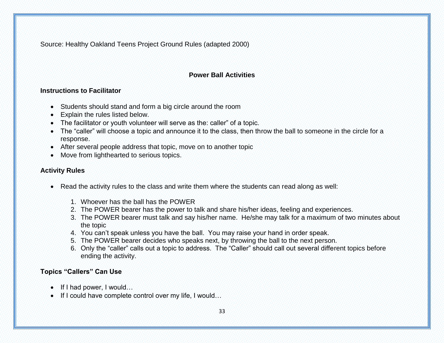Source: Healthy Oakland Teens Project Ground Rules (adapted 2000)

# **Power Ball Activities**

#### **Instructions to Facilitator**

- Students should stand and form a big circle around the room
- Explain the rules listed below.
- The facilitator or youth volunteer will serve as the: caller" of a topic.
- The "caller" will choose a topic and announce it to the class, then throw the ball to someone in the circle for a response.
- After several people address that topic, move on to another topic
- Move from lighthearted to serious topics.

#### **Activity Rules**

- Read the activity rules to the class and write them where the students can read along as well:
	- 1. Whoever has the ball has the POWER
	- 2. The POWER bearer has the power to talk and share his/her ideas, feeling and experiences.
	- 3. The POWER bearer must talk and say his/her name. He/she may talk for a maximum of two minutes about the topic
	- 4. You can't speak unless you have the ball. You may raise your hand in order speak.
	- 5. The POWER bearer decides who speaks next, by throwing the ball to the next person.
	- 6. Only the "caller" calls out a topic to address. The "Caller" should call out several different topics before ending the activity.

# **Topics "Callers" Can Use**

- If I had power, I would...
- If I could have complete control over my life, I would...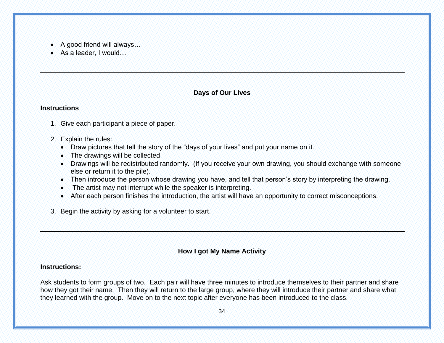- A good friend will always…
- As a leader, I would…

# **Days of Our Lives**

#### **Instructions**

- 1. Give each participant a piece of paper.
- 2. Explain the rules:
	- Draw pictures that tell the story of the "days of your lives" and put your name on it.
	- The drawings will be collected
	- Drawings will be redistributed randomly. (If you receive your own drawing, you should exchange with someone else or return it to the pile).
	- Then introduce the person whose drawing you have, and tell that person's story by interpreting the drawing.
	- The artist may not interrupt while the speaker is interpreting.
	- After each person finishes the introduction, the artist will have an opportunity to correct misconceptions.
- 3. Begin the activity by asking for a volunteer to start.

# **How I got My Name Activity**

#### **Instructions:**

Ask students to form groups of two. Each pair will have three minutes to introduce themselves to their partner and share how they got their name. Then they will return to the large group, where they will introduce their partner and share what they learned with the group. Move on to the next topic after everyone has been introduced to the class.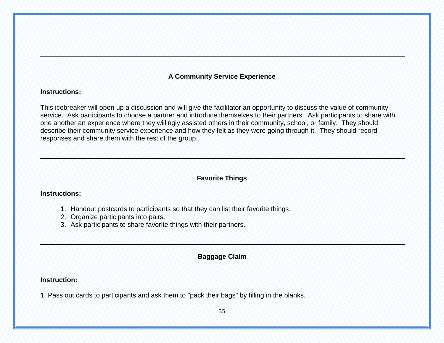# **A Community Service Experience**

#### **Instructions:**

This icebreaker will open up a discussion and will give the facilitator an opportunity to discuss the value of community service. Ask participants to choose a partner and introduce themselves to their partners. Ask participants to share with one another an experience where they willingly assisted others in their community, school, or family. They should describe their community service experience and how they felt as they were going through it. They should record responses and share them with the rest of the group.

# **Favorite Things**

#### **Instructions:**

- 1. Handout postcards to participants so that they can list their favorite things.
- 2. Organize participants into pairs.
- 3. Ask participants to share favorite things with their partners.

# **Baggage Claim**

#### **Instruction:**

1. Pass out cards to participants and ask them to "pack their bags" by filling in the blanks.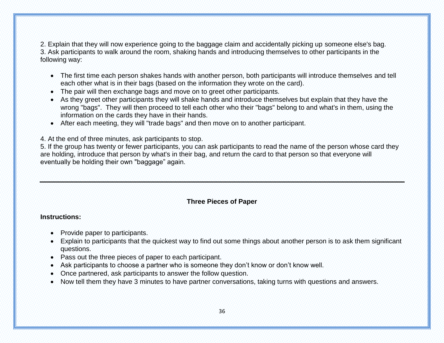2. Explain that they will now experience going to the baggage claim and accidentally picking up someone else's bag. 3. Ask participants to walk around the room, shaking hands and introducing themselves to other participants in the following way:

- The first time each person shakes hands with another person, both participants will introduce themselves and tell each other what is in their bags (based on the information they wrote on the card).
- The pair will then exchange bags and move on to greet other participants.
- As they greet other participants they will shake hands and introduce themselves but explain that they have the wrong "bags". They will then proceed to tell each other who their "bags" belong to and what's in them, using the information on the cards they have in their hands.
- After each meeting, they will "trade bags" and then move on to another participant.

4. At the end of three minutes, ask participants to stop.

5. If the group has twenty or fewer participants, you can ask participants to read the name of the person whose card they are holding, introduce that person by what's in their bag, and return the card to that person so that everyone will eventually be holding their own "baggage" again.

# **Three Pieces of Paper**

#### **Instructions:**

- Provide paper to participants.
- Explain to participants that the quickest way to find out some things about another person is to ask them significant questions.
- Pass out the three pieces of paper to each participant.
- Ask participants to choose a partner who is someone they don't know or don't know well.
- Once partnered, ask participants to answer the follow question.
- Now tell them they have 3 minutes to have partner conversations, taking turns with questions and answers.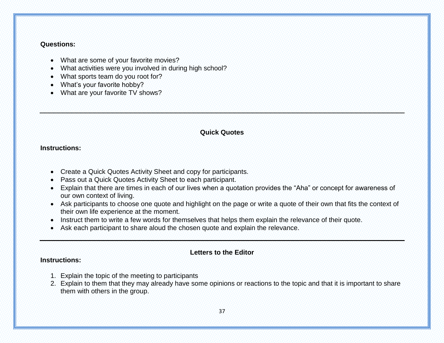#### **Questions:**

- What are some of your favorite movies?
- What activities were you involved in during high school?
- What sports team do you root for?
- What's your favorite hobby?
- What are your favorite TV shows?

#### **Quick Quotes**

#### **Instructions:**

- Create a Quick Quotes Activity Sheet and copy for participants.
- Pass out a Quick Quotes Activity Sheet to each participant.
- Explain that there are times in each of our lives when a quotation provides the "Aha" or concept for awareness of our own context of living.
- Ask participants to choose one quote and highlight on the page or write a quote of their own that fits the context of their own life experience at the moment.
- Instruct them to write a few words for themselves that helps them explain the relevance of their quote.
- Ask each participant to share aloud the chosen quote and explain the relevance.

#### **Letters to the Editor**

#### **Instructions:**

- 1. Explain the topic of the meeting to participants
- 2. Explain to them that they may already have some opinions or reactions to the topic and that it is important to share them with others in the group.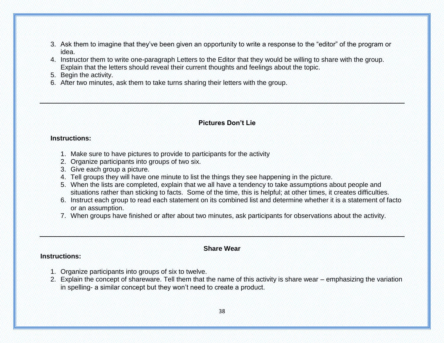- 3. Ask them to imagine that they've been given an opportunity to write a response to the "editor" of the program or idea.
- 4. Instructor them to write one-paragraph Letters to the Editor that they would be willing to share with the group. Explain that the letters should reveal their current thoughts and feelings about the topic.
- 5. Begin the activity.
- 6. After two minutes, ask them to take turns sharing their letters with the group.

#### **Pictures Don't Lie**

#### **Instructions:**

- 1. Make sure to have pictures to provide to participants for the activity
- 2. Organize participants into groups of two six.
- 3. Give each group a picture.
- 4. Tell groups they will have one minute to list the things they see happening in the picture.
- 5. When the lists are completed, explain that we all have a tendency to take assumptions about people and situations rather than sticking to facts. Some of the time, this is helpful; at other times, it creates difficulties.
- 6. Instruct each group to read each statement on its combined list and determine whether it is a statement of facto or an assumption.
- 7. When groups have finished or after about two minutes, ask participants for observations about the activity.

#### **Share Wear**

#### **Instructions:**

- 1. Organize participants into groups of six to twelve.
- 2. Explain the concept of shareware. Tell them that the name of this activity is share wear emphasizing the variation in spelling- a similar concept but they won't need to create a product.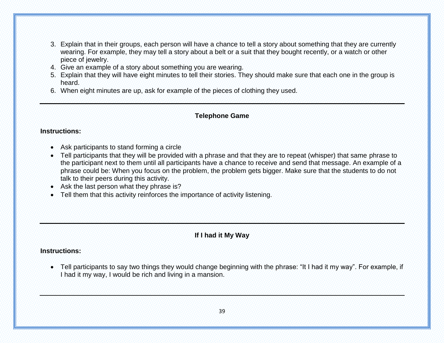- 3. Explain that in their groups, each person will have a chance to tell a story about something that they are currently wearing. For example, they may tell a story about a belt or a suit that they bought recently, or a watch or other piece of jewelry.
- 4. Give an example of a story about something you are wearing.
- 5. Explain that they will have eight minutes to tell their stories. They should make sure that each one in the group is heard.
- 6. When eight minutes are up, ask for example of the pieces of clothing they used.

#### **Telephone Game**

#### **Instructions:**

- Ask participants to stand forming a circle
- Tell participants that they will be provided with a phrase and that they are to repeat (whisper) that same phrase to the participant next to them until all participants have a chance to receive and send that message. An example of a phrase could be: When you focus on the problem, the problem gets bigger. Make sure that the students to do not talk to their peers during this activity.
- Ask the last person what they phrase is?
- Tell them that this activity reinforces the importance of activity listening.

# **If I had it My Way**

#### **Instructions:**

 Tell participants to say two things they would change beginning with the phrase: "It I had it my way". For example, if I had it my way, I would be rich and living in a mansion.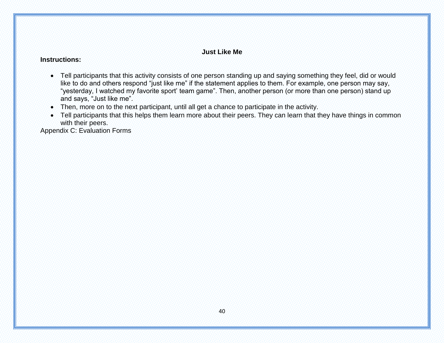#### **Just Like Me**

#### **Instructions:**

- Tell participants that this activity consists of one person standing up and saying something they feel, did or would like to do and others respond "just like me" if the statement applies to them. For example, one person may say, "yesterday, I watched my favorite sport' team game". Then, another person (or more than one person) stand up and says, "Just like me".
- Then, more on to the next participant, until all get a chance to participate in the activity.
- Tell participants that this helps them learn more about their peers. They can learn that they have things in common with their peers.

Appendix C: Evaluation Forms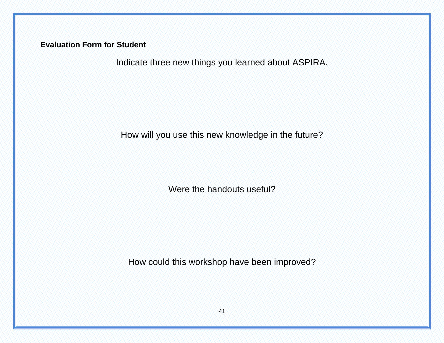**Evaluation Form for Student**

Indicate three new things you learned about ASPIRA.

How will you use this new knowledge in the future?

Were the handouts useful?

How could this workshop have been improved?